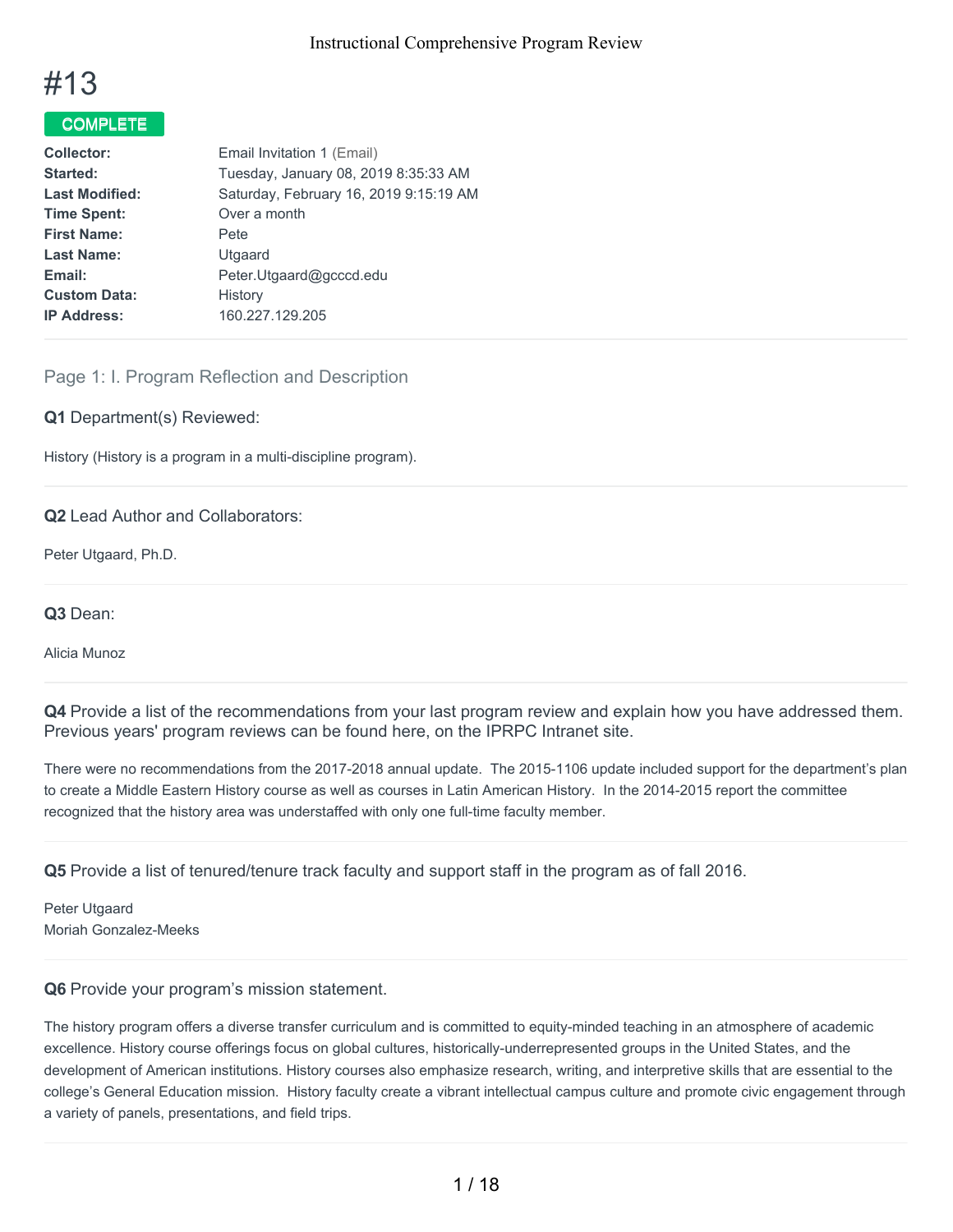

# COMPLETE

| Email Invitation 1 (Email)             |
|----------------------------------------|
| Tuesday, January 08, 2019 8:35:33 AM   |
| Saturday, February 16, 2019 9:15:19 AM |
| Over a month                           |
| <b>Pete</b>                            |
| Utgaard                                |
| Peter.Utgaard@gcccd.edu                |
| History                                |
| 160.227.129.205                        |
|                                        |

# Page 1: I. Program Reflection and Description

#### **Q1** Department(s) Reviewed:

History (History is a program in a multi-discipline program).

#### **Q2** Lead Author and Collaborators:

Peter Utgaard, Ph.D.

#### **Q3** Dean:

Alicia Munoz

**Q4** Provide a list of the recommendations from your last program review and explain how you have addressed them. Previous years' program reviews can be found here, on the IPRPC Intranet site.

There were no recommendations from the 2017-2018 annual update. The 2015-1106 update included support for the department's plan to create a Middle Eastern History course as well as courses in Latin American History. In the 2014-2015 report the committee recognized that the history area was understaffed with only one full-time faculty member.

**Q5** Provide a list of tenured/tenure track faculty and support staff in the program as of fall 2016.

Peter Utgaard Moriah Gonzalez-Meeks

#### **Q6** Provide your program's mission statement.

The history program offers a diverse transfer curriculum and is committed to equity-minded teaching in an atmosphere of academic excellence. History course offerings focus on global cultures, historically-underrepresented groups in the United States, and the development of American institutions. History courses also emphasize research, writing, and interpretive skills that are essential to the college's General Education mission. History faculty create a vibrant intellectual campus culture and promote civic engagement through a variety of panels, presentations, and field trips.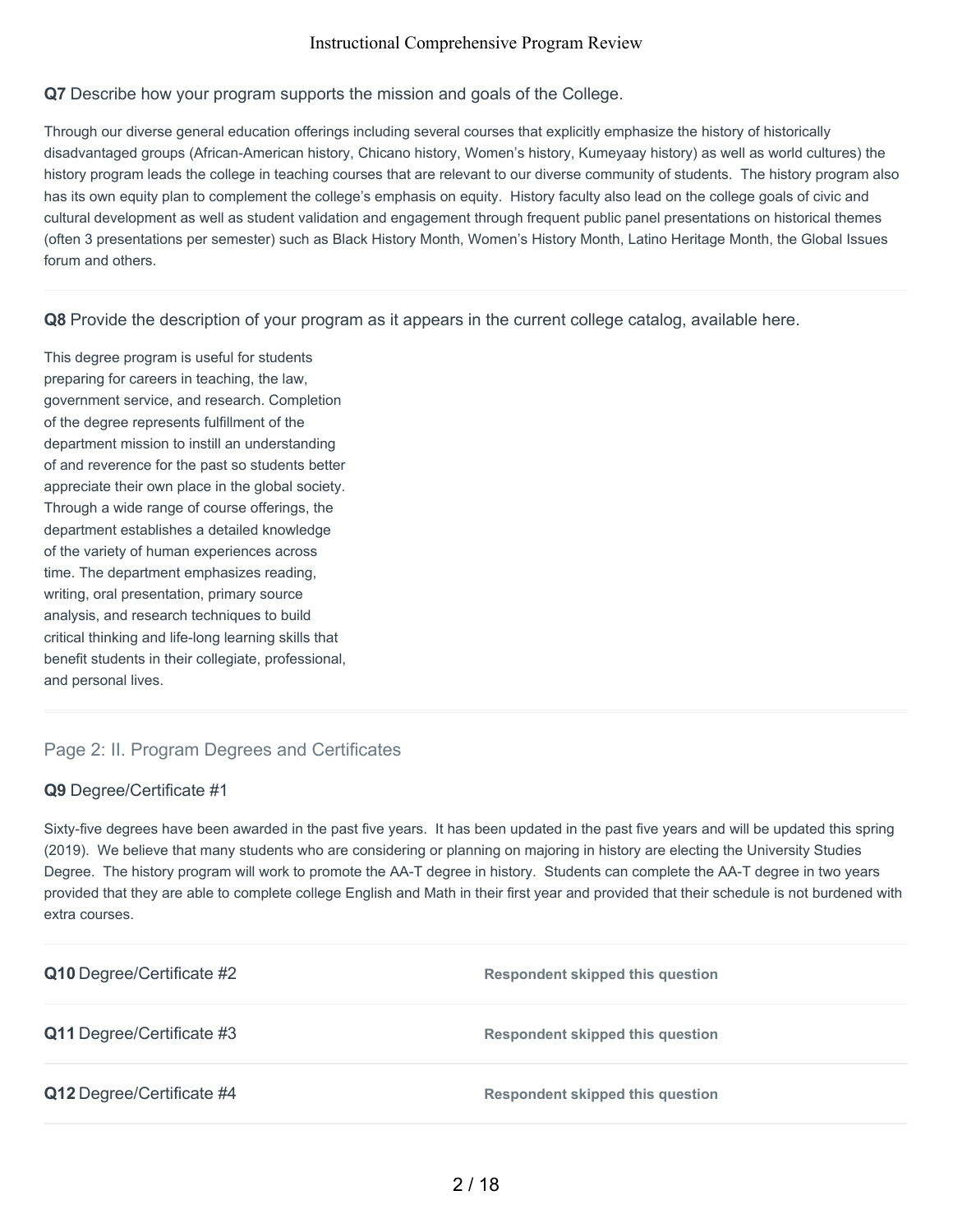### **Q7** Describe how your program supports the mission and goals of the College.

Through our diverse general education offerings including several courses that explicitly emphasize the history of historically disadvantaged groups (African-American history, Chicano history, Women's history, Kumeyaay history) as well as world cultures) the history program leads the college in teaching courses that are relevant to our diverse community of students. The history program also has its own equity plan to complement the college's emphasis on equity. History faculty also lead on the college goals of civic and cultural development as well as student validation and engagement through frequent public panel presentations on historical themes (often 3 presentations per semester) such as Black History Month, Women's History Month, Latino Heritage Month, the Global Issues forum and others.

#### **Q8** Provide the description of your program as it appears in the current college catalog, available here.

This degree program is useful for students preparing for careers in teaching, the law, government service, and research. Completion of the degree represents fulfillment of the department mission to instill an understanding of and reverence for the past so students better appreciate their own place in the global society. Through a wide range of course offerings, the department establishes a detailed knowledge of the variety of human experiences across time. The department emphasizes reading, writing, oral presentation, primary source analysis, and research techniques to build critical thinking and life-long learning skills that benefit students in their collegiate, professional, and personal lives.

# Page 2: II. Program Degrees and Certificates

# **Q9** Degree/Certificate #1

Sixty-five degrees have been awarded in the past five years. It has been updated in the past five years and will be updated this spring (2019). We believe that many students who are considering or planning on majoring in history are electing the University Studies Degree. The history program will work to promote the AA-T degree in history. Students can complete the AA-T degree in two years provided that they are able to complete college English and Math in their first year and provided that their schedule is not burdened with extra courses.

| Q10 Degree/Certificate #2 | <b>Respondent skipped this question</b> |
|---------------------------|-----------------------------------------|
| Q11 Degree/Certificate #3 | <b>Respondent skipped this question</b> |
| Q12 Degree/Certificate #4 | <b>Respondent skipped this question</b> |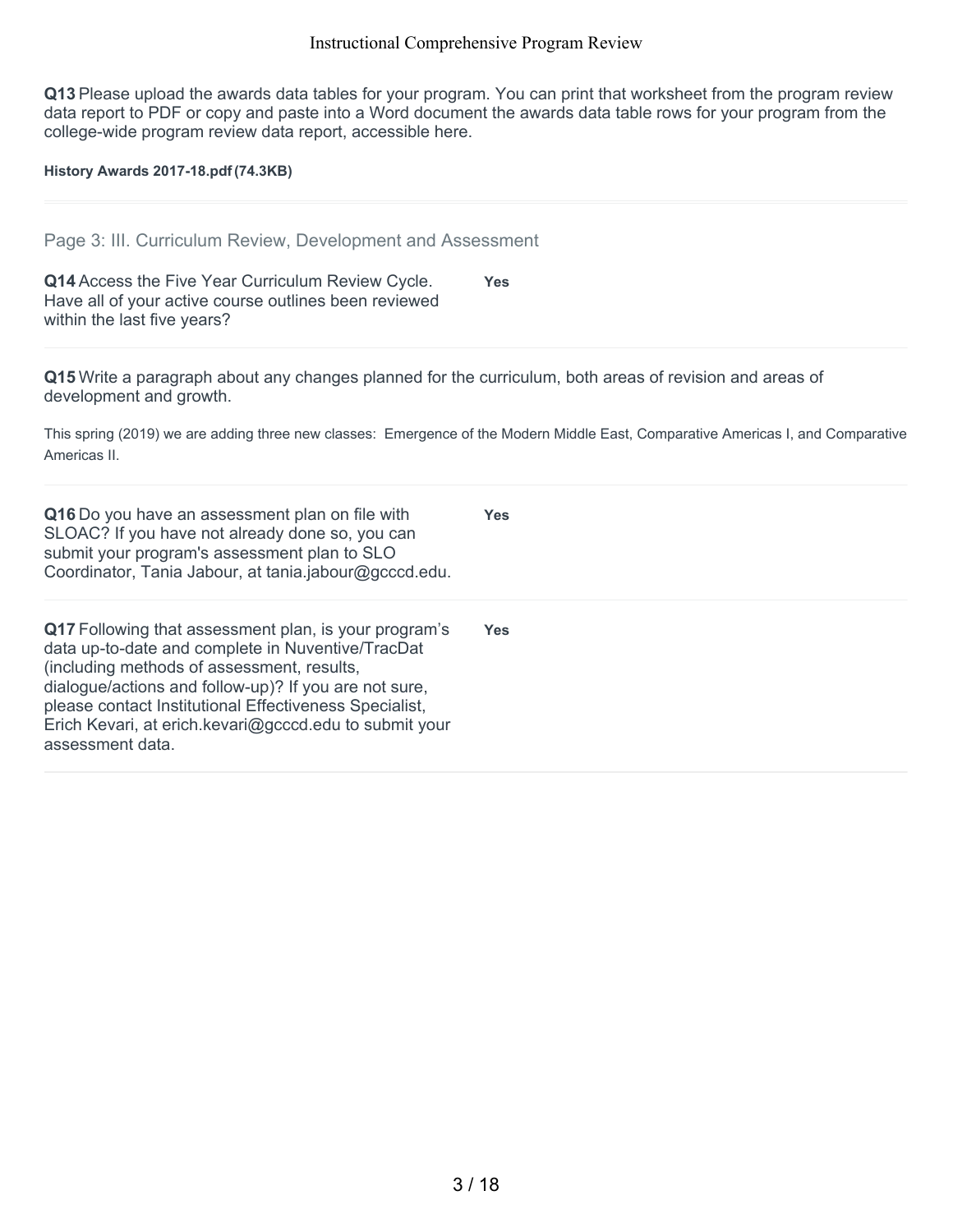**Q13** Please upload the awards data tables for your program. You can print that worksheet from the program review data report to PDF or copy and paste into a Word document the awards data table rows for your program from the college-wide program review data report, accessible here.

**History Awards 2017-18.pdf(74.3KB)**

|  |  |  | Page 3: III. Curriculum Review, Development and Assessment |  |
|--|--|--|------------------------------------------------------------|--|
|  |  |  |                                                            |  |

| Q14 Access the Five Year Curriculum Review Cycle.     | <b>Yes</b> |
|-------------------------------------------------------|------------|
| Have all of your active course outlines been reviewed |            |
| within the last five years?                           |            |

**Q15** Write a paragraph about any changes planned for the curriculum, both areas of revision and areas of development and growth.

This spring (2019) we are adding three new classes: Emergence of the Modern Middle East, Comparative Americas I, and Comparative Americas II.

| Q16 Do you have an assessment plan on file with<br>SLOAC? If you have not already done so, you can<br>submit your program's assessment plan to SLO<br>Coordinator, Tania Jabour, at tania.jabour@gcccd.edu.                                                                                                                                               | <b>Yes</b> |
|-----------------------------------------------------------------------------------------------------------------------------------------------------------------------------------------------------------------------------------------------------------------------------------------------------------------------------------------------------------|------------|
| Q17 Following that assessment plan, is your program's<br>data up-to-date and complete in Nuventive/TracDat<br>(including methods of assessment, results,<br>dialogue/actions and follow-up)? If you are not sure,<br>please contact Institutional Effectiveness Specialist,<br>Erich Kevari, at erich kevari@gcccd.edu to submit your<br>assessment data. | <b>Yes</b> |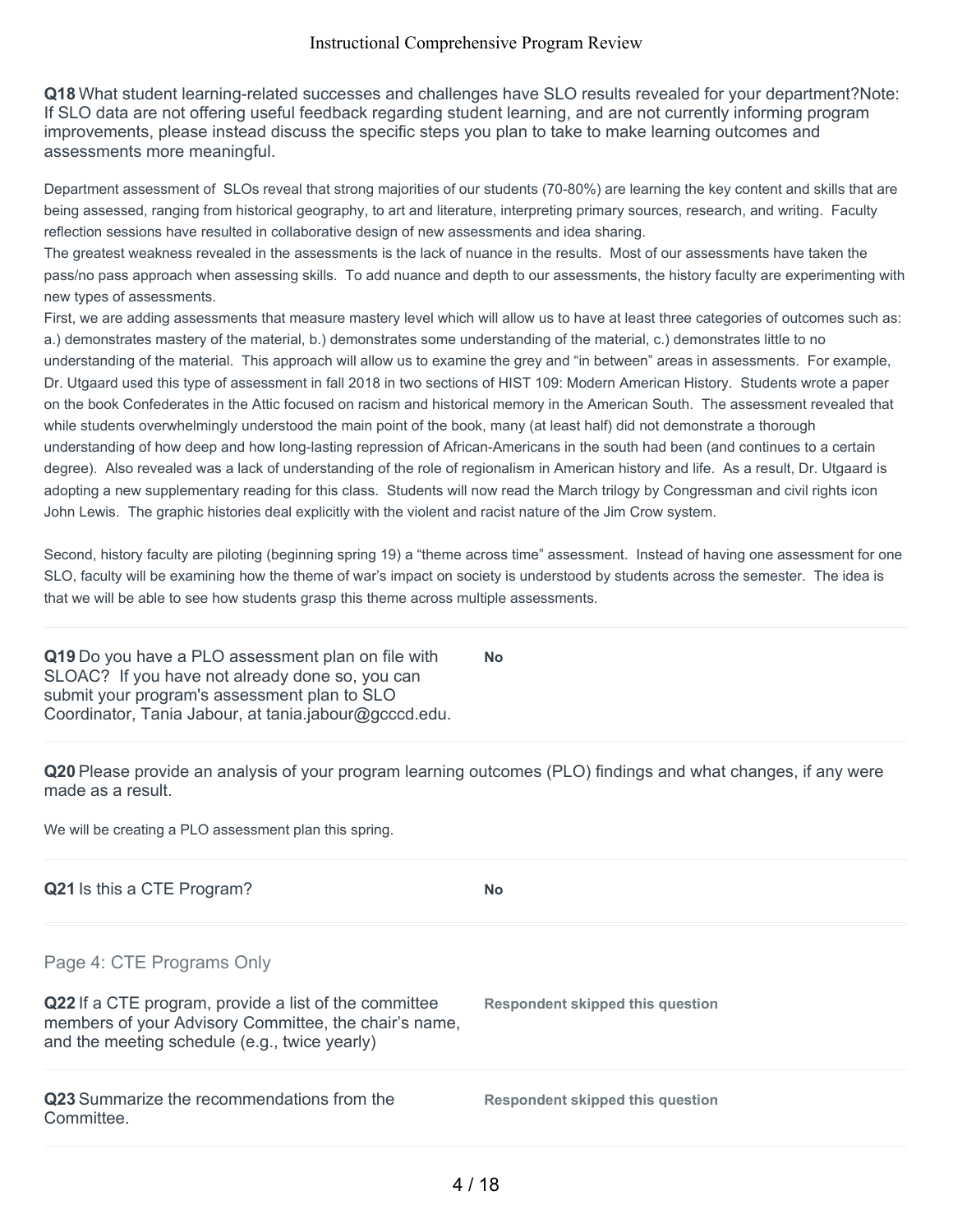**Q18** What student learning-related successes and challenges have SLO results revealed for your department?Note: If SLO data are not offering useful feedback regarding student learning, and are not currently informing program improvements, please instead discuss the specific steps you plan to take to make learning outcomes and assessments more meaningful.

Department assessment of SLOs reveal that strong majorities of our students (70-80%) are learning the key content and skills that are being assessed, ranging from historical geography, to art and literature, interpreting primary sources, research, and writing. Faculty reflection sessions have resulted in collaborative design of new assessments and idea sharing.

The greatest weakness revealed in the assessments is the lack of nuance in the results. Most of our assessments have taken the pass/no pass approach when assessing skills. To add nuance and depth to our assessments, the history faculty are experimenting with new types of assessments.

First, we are adding assessments that measure mastery level which will allow us to have at least three categories of outcomes such as: a.) demonstrates mastery of the material, b.) demonstrates some understanding of the material, c.) demonstrates little to no understanding of the material. This approach will allow us to examine the grey and "in between" areas in assessments. For example, Dr. Utgaard used this type of assessment in fall 2018 in two sections of HIST 109: Modern American History. Students wrote a paper on the book Confederates in the Attic focused on racism and historical memory in the American South. The assessment revealed that while students overwhelmingly understood the main point of the book, many (at least half) did not demonstrate a thorough understanding of how deep and how long-lasting repression of African-Americans in the south had been (and continues to a certain degree). Also revealed was a lack of understanding of the role of regionalism in American history and life. As a result, Dr. Utgaard is adopting a new supplementary reading for this class. Students will now read the March trilogy by Congressman and civil rights icon John Lewis. The graphic histories deal explicitly with the violent and racist nature of the Jim Crow system.

Second, history faculty are piloting (beginning spring 19) a "theme across time" assessment. Instead of having one assessment for one SLO, faculty will be examining how the theme of war's impact on society is understood by students across the semester. The idea is that we will be able to see how students grasp this theme across multiple assessments.

**Q19** Do you have a PLO assessment plan on file with SLOAC? If you have not already done so, you can submit your program's assessment plan to SLO Coordinator, Tania Jabour, at tania.jabour@gcccd.edu. **No**

**Q20** Please provide an analysis of your program learning outcomes (PLO) findings and what changes, if any were made as a result.

We will be creating a PLO assessment plan this spring.

| Q21 Is this a CTE Program?                                                                                                                                      | <b>No</b>                        |
|-----------------------------------------------------------------------------------------------------------------------------------------------------------------|----------------------------------|
| Page 4: CTE Programs Only                                                                                                                                       |                                  |
| Q22 If a CTE program, provide a list of the committee<br>members of your Advisory Committee, the chair's name,<br>and the meeting schedule (e.g., twice yearly) | Respondent skipped this question |
| <b>Q23</b> Summarize the recommendations from the<br>Committee.                                                                                                 | Respondent skipped this question |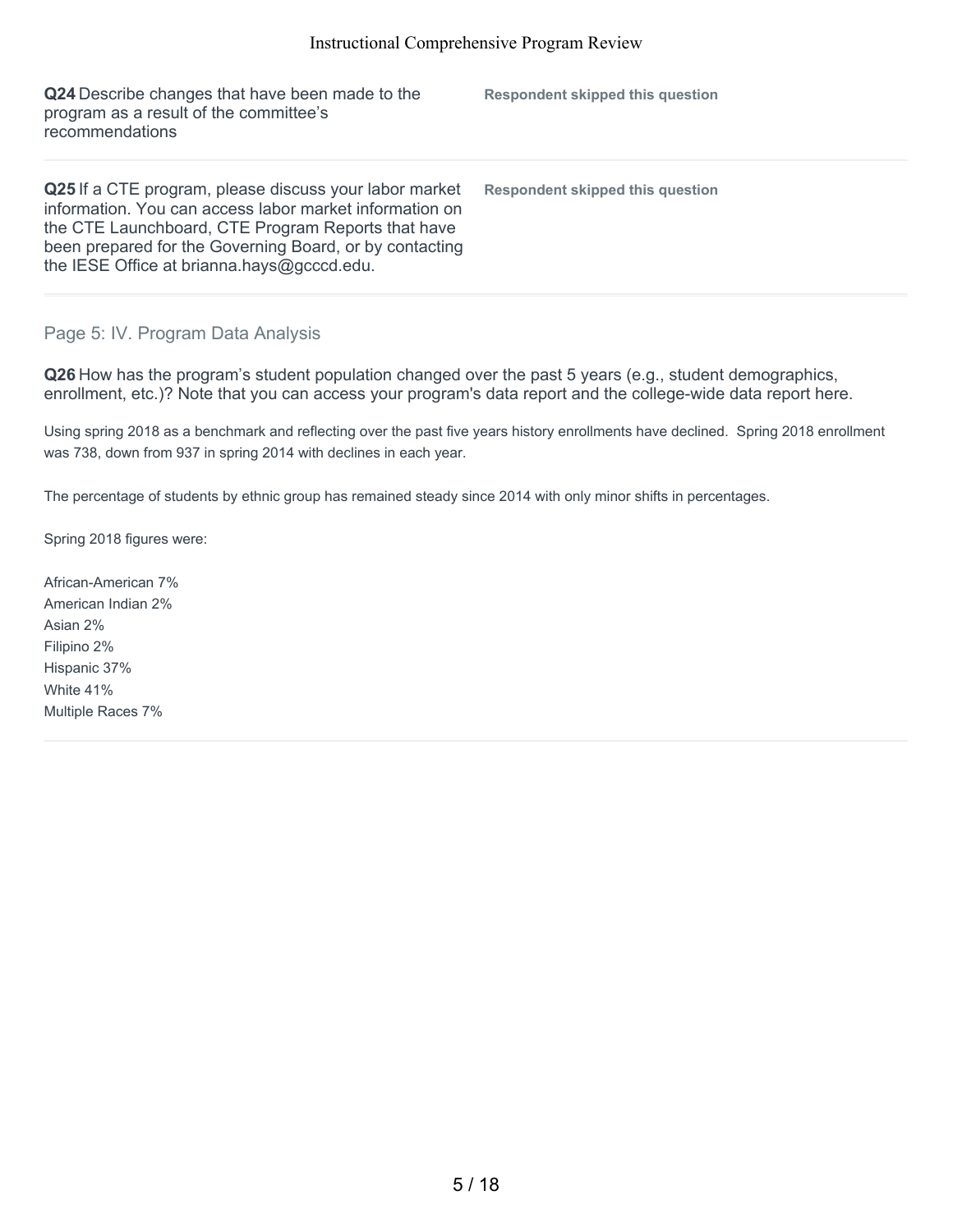| Q24 Describe changes that have been made to the<br>program as a result of the committee's<br>recommendations                                                                                                                                                                     | <b>Respondent skipped this question</b> |
|----------------------------------------------------------------------------------------------------------------------------------------------------------------------------------------------------------------------------------------------------------------------------------|-----------------------------------------|
| Q25 If a CTE program, please discuss your labor market<br>information. You can access labor market information on<br>the CTE Launchboard, CTE Program Reports that have<br>been prepared for the Governing Board, or by contacting<br>the IESE Office at brianna.hays@gcccd.edu. | Respondent skipped this question        |

# Page 5: IV. Program Data Analysis

**Q26** How has the program's student population changed over the past 5 years (e.g., student demographics, enrollment, etc.)? Note that you can access your program's data report and the college-wide data report here.

Using spring 2018 as a benchmark and reflecting over the past five years history enrollments have declined. Spring 2018 enrollment was 738, down from 937 in spring 2014 with declines in each year.

The percentage of students by ethnic group has remained steady since 2014 with only minor shifts in percentages.

Spring 2018 figures were:

African-American 7% American Indian 2% Asian 2% Filipino 2% Hispanic 37% White 41% Multiple Races 7%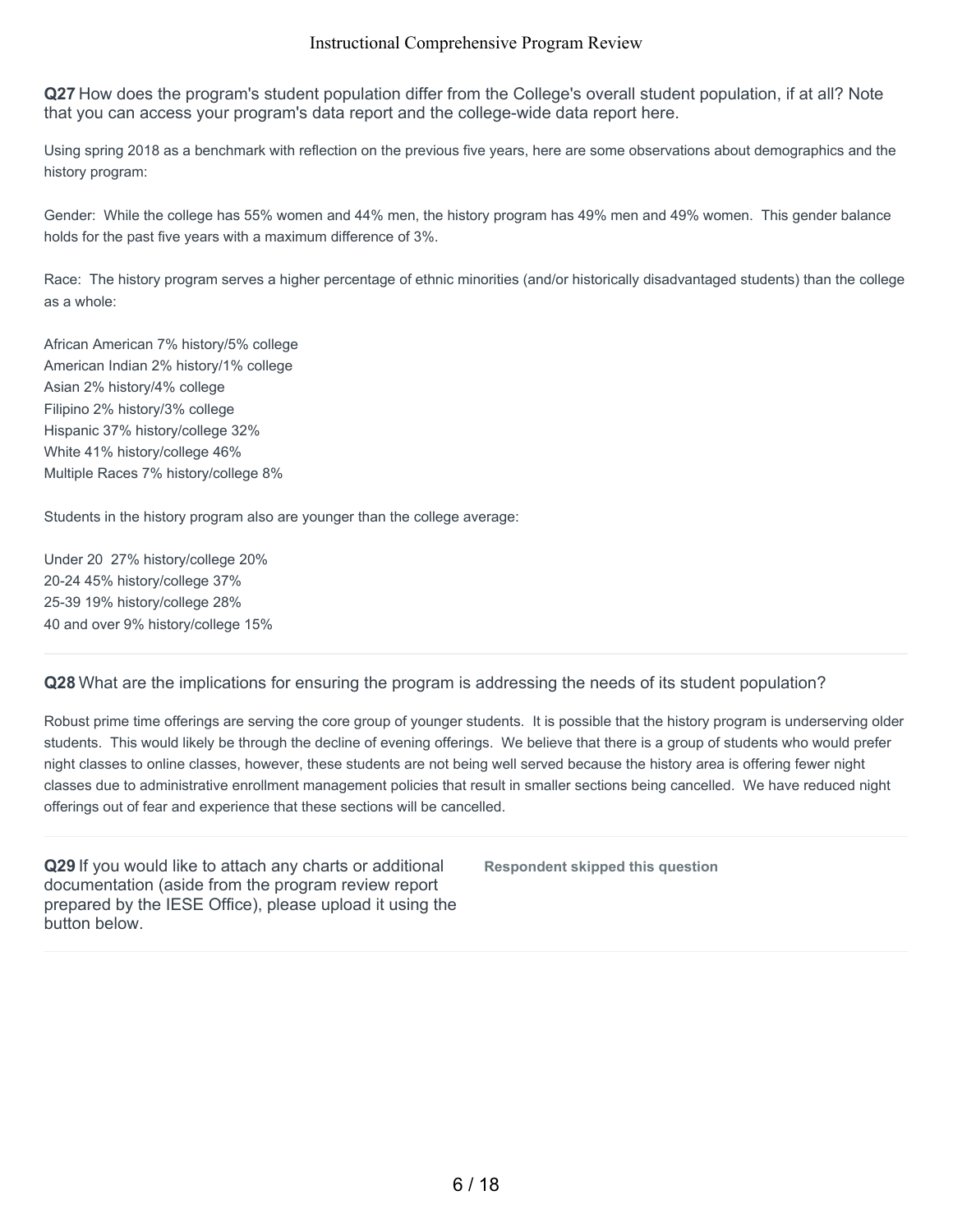**Q27** How does the program's student population differ from the College's overall student population, if at all? Note that you can access your program's data report and the college-wide data report here.

Using spring 2018 as a benchmark with reflection on the previous five years, here are some observations about demographics and the history program:

Gender: While the college has 55% women and 44% men, the history program has 49% men and 49% women. This gender balance holds for the past five years with a maximum difference of 3%.

Race: The history program serves a higher percentage of ethnic minorities (and/or historically disadvantaged students) than the college as a whole:

African American 7% history/5% college American Indian 2% history/1% college Asian 2% history/4% college Filipino 2% history/3% college Hispanic 37% history/college 32% White 41% history/college 46% Multiple Races 7% history/college 8%

Students in the history program also are younger than the college average:

Under 20 27% history/college 20% 20-24 45% history/college 37% 25-39 19% history/college 28% 40 and over 9% history/college 15%

# **Q28** What are the implications for ensuring the program is addressing the needs of its student population?

Robust prime time offerings are serving the core group of younger students. It is possible that the history program is underserving older students. This would likely be through the decline of evening offerings. We believe that there is a group of students who would prefer night classes to online classes, however, these students are not being well served because the history area is offering fewer night classes due to administrative enrollment management policies that result in smaller sections being cancelled. We have reduced night offerings out of fear and experience that these sections will be cancelled.

**Q29** If you would like to attach any charts or additional documentation (aside from the program review report prepared by the IESE Office), please upload it using the button below.

**Respondent skipped this question**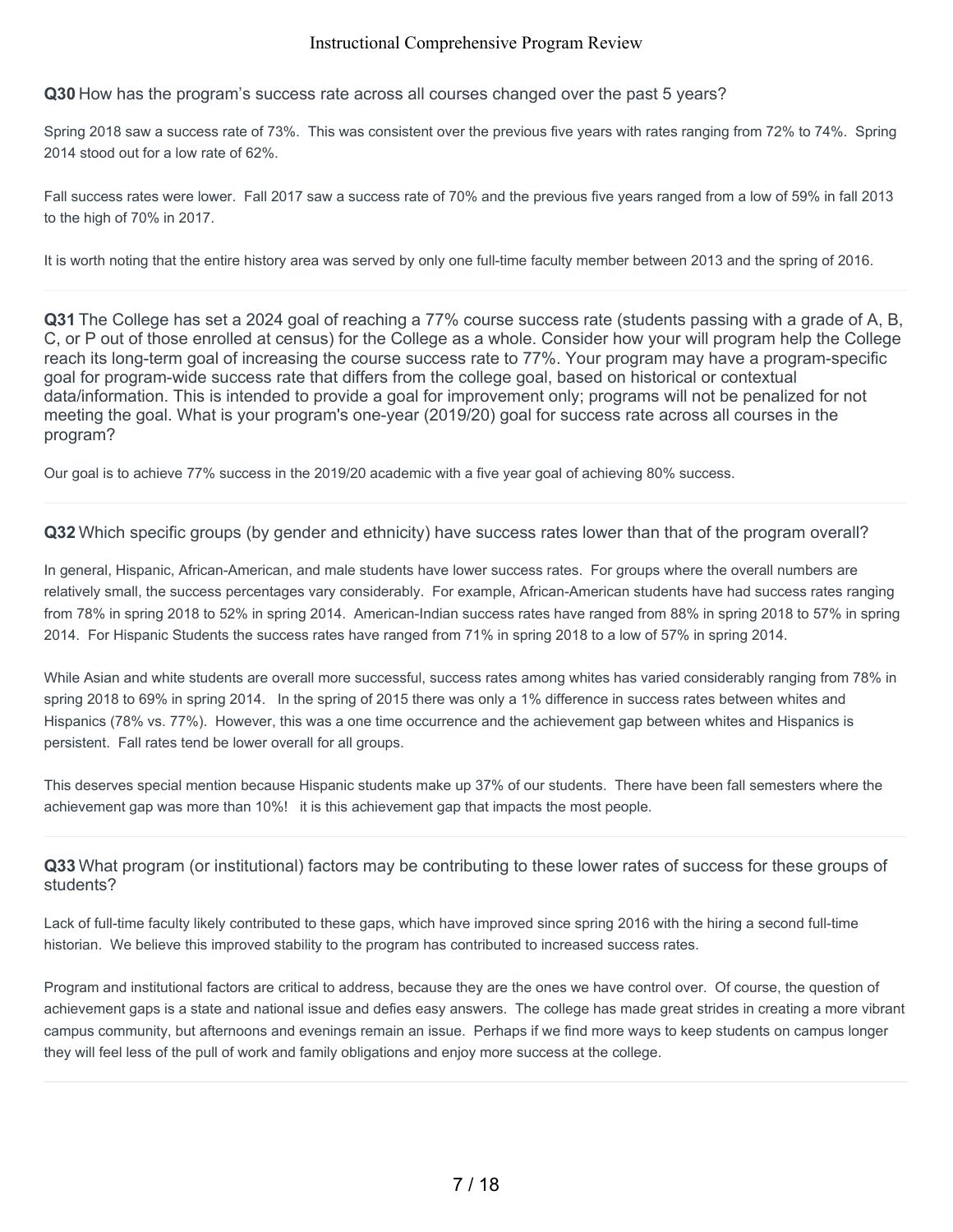**Q30** How has the program's success rate across all courses changed over the past 5 years?

Spring 2018 saw a success rate of 73%. This was consistent over the previous five years with rates ranging from 72% to 74%. Spring 2014 stood out for a low rate of 62%.

Fall success rates were lower. Fall 2017 saw a success rate of 70% and the previous five years ranged from a low of 59% in fall 2013 to the high of 70% in 2017.

It is worth noting that the entire history area was served by only one full-time faculty member between 2013 and the spring of 2016.

**Q31** The College has set a 2024 goal of reaching a 77% course success rate (students passing with a grade of A, B, C, or P out of those enrolled at census) for the College as a whole. Consider how your will program help the College reach its long-term goal of increasing the course success rate to 77%. Your program may have a program-specific goal for program-wide success rate that differs from the college goal, based on historical or contextual data/information. This is intended to provide a goal for improvement only; programs will not be penalized for not meeting the goal. What is your program's one-year (2019/20) goal for success rate across all courses in the program?

Our goal is to achieve 77% success in the 2019/20 academic with a five year goal of achieving 80% success.

**Q32** Which specific groups (by gender and ethnicity) have success rates lower than that of the program overall?

In general, Hispanic, African-American, and male students have lower success rates. For groups where the overall numbers are relatively small, the success percentages vary considerably. For example, African-American students have had success rates ranging from 78% in spring 2018 to 52% in spring 2014. American-Indian success rates have ranged from 88% in spring 2018 to 57% in spring 2014. For Hispanic Students the success rates have ranged from 71% in spring 2018 to a low of 57% in spring 2014.

While Asian and white students are overall more successful, success rates among whites has varied considerably ranging from 78% in spring 2018 to 69% in spring 2014. In the spring of 2015 there was only a 1% difference in success rates between whites and Hispanics (78% vs. 77%). However, this was a one time occurrence and the achievement gap between whites and Hispanics is persistent. Fall rates tend be lower overall for all groups.

This deserves special mention because Hispanic students make up 37% of our students. There have been fall semesters where the achievement gap was more than 10%! it is this achievement gap that impacts the most people.

**Q33** What program (or institutional) factors may be contributing to these lower rates of success for these groups of students?

Lack of full-time faculty likely contributed to these gaps, which have improved since spring 2016 with the hiring a second full-time historian. We believe this improved stability to the program has contributed to increased success rates.

Program and institutional factors are critical to address, because they are the ones we have control over. Of course, the question of achievement gaps is a state and national issue and defies easy answers. The college has made great strides in creating a more vibrant campus community, but afternoons and evenings remain an issue. Perhaps if we find more ways to keep students on campus longer they will feel less of the pull of work and family obligations and enjoy more success at the college.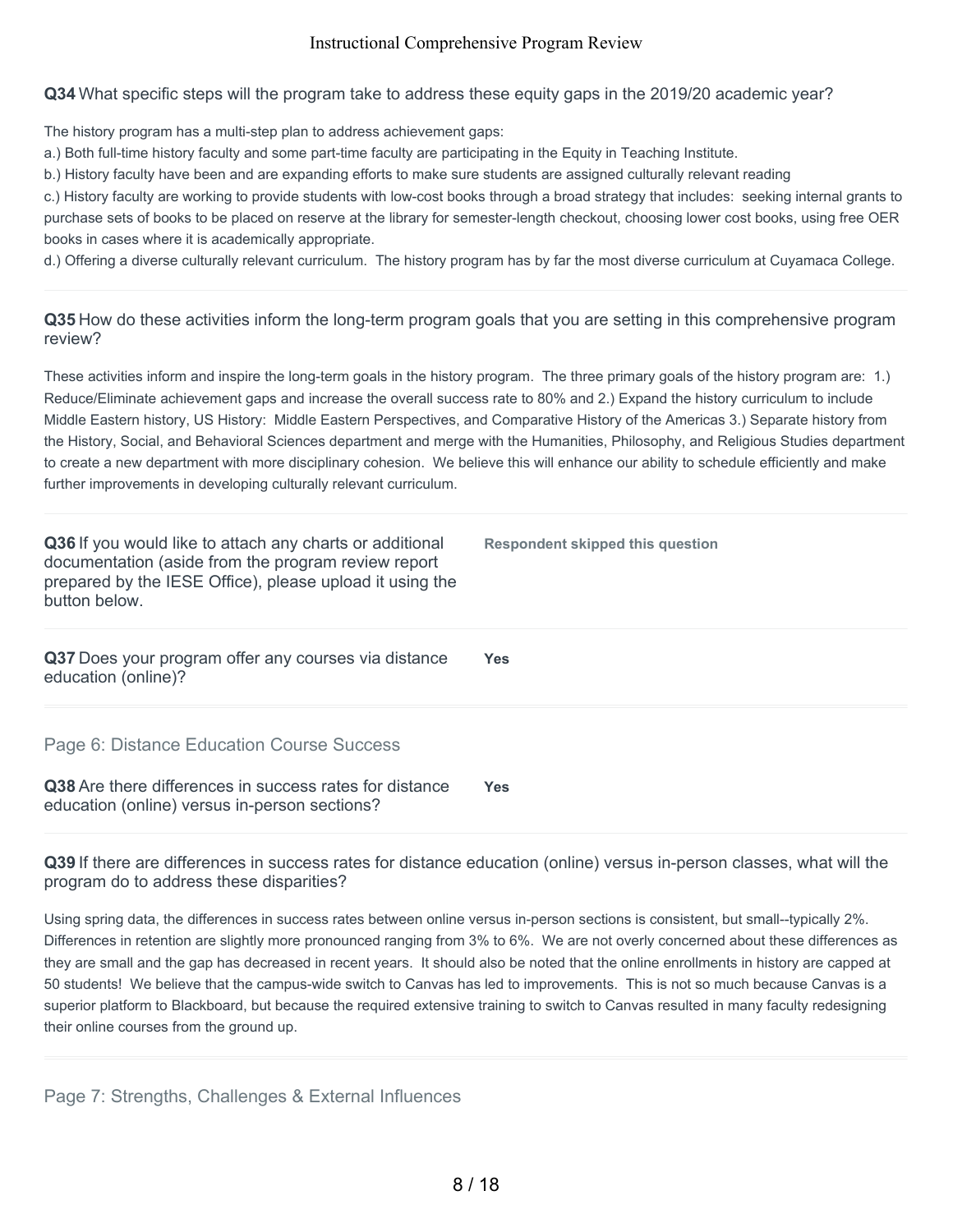**Q34** What specific steps will the program take to address these equity gaps in the 2019/20 academic year?

The history program has a multi-step plan to address achievement gaps:

a.) Both full-time history faculty and some part-time faculty are participating in the Equity in Teaching Institute.

b.) History faculty have been and are expanding efforts to make sure students are assigned culturally relevant reading

c.) History faculty are working to provide students with low-cost books through a broad strategy that includes: seeking internal grants to purchase sets of books to be placed on reserve at the library for semester-length checkout, choosing lower cost books, using free OER books in cases where it is academically appropriate.

d.) Offering a diverse culturally relevant curriculum. The history program has by far the most diverse curriculum at Cuyamaca College.

# **Q35** How do these activities inform the long-term program goals that you are setting in this comprehensive program review?

These activities inform and inspire the long-term goals in the history program. The three primary goals of the history program are: 1.) Reduce/Eliminate achievement gaps and increase the overall success rate to 80% and 2.) Expand the history curriculum to include Middle Eastern history, US History: Middle Eastern Perspectives, and Comparative History of the Americas 3.) Separate history from the History, Social, and Behavioral Sciences department and merge with the Humanities, Philosophy, and Religious Studies department to create a new department with more disciplinary cohesion. We believe this will enhance our ability to schedule efficiently and make further improvements in developing culturally relevant curriculum.

| Q36 If you would like to attach any charts or additional<br>documentation (aside from the program review report<br>prepared by the IESE Office), please upload it using the<br>button below. | Respondent skipped this question |
|----------------------------------------------------------------------------------------------------------------------------------------------------------------------------------------------|----------------------------------|
| Q37 Does your program offer any courses via distance<br>education (online)?                                                                                                                  | Yes                              |
| Page 6: Distance Education Course Success<br>Q38 Are there differences in success rates for distance<br>education (online) versus in-person sections?                                        | Yes                              |

**Q39** If there are differences in success rates for distance education (online) versus in-person classes, what will the program do to address these disparities?

Using spring data, the differences in success rates between online versus in-person sections is consistent, but small--typically 2%. Differences in retention are slightly more pronounced ranging from 3% to 6%. We are not overly concerned about these differences as they are small and the gap has decreased in recent years. It should also be noted that the online enrollments in history are capped at 50 students! We believe that the campus-wide switch to Canvas has led to improvements. This is not so much because Canvas is a superior platform to Blackboard, but because the required extensive training to switch to Canvas resulted in many faculty redesigning their online courses from the ground up.

Page 7: Strengths, Challenges & External Influences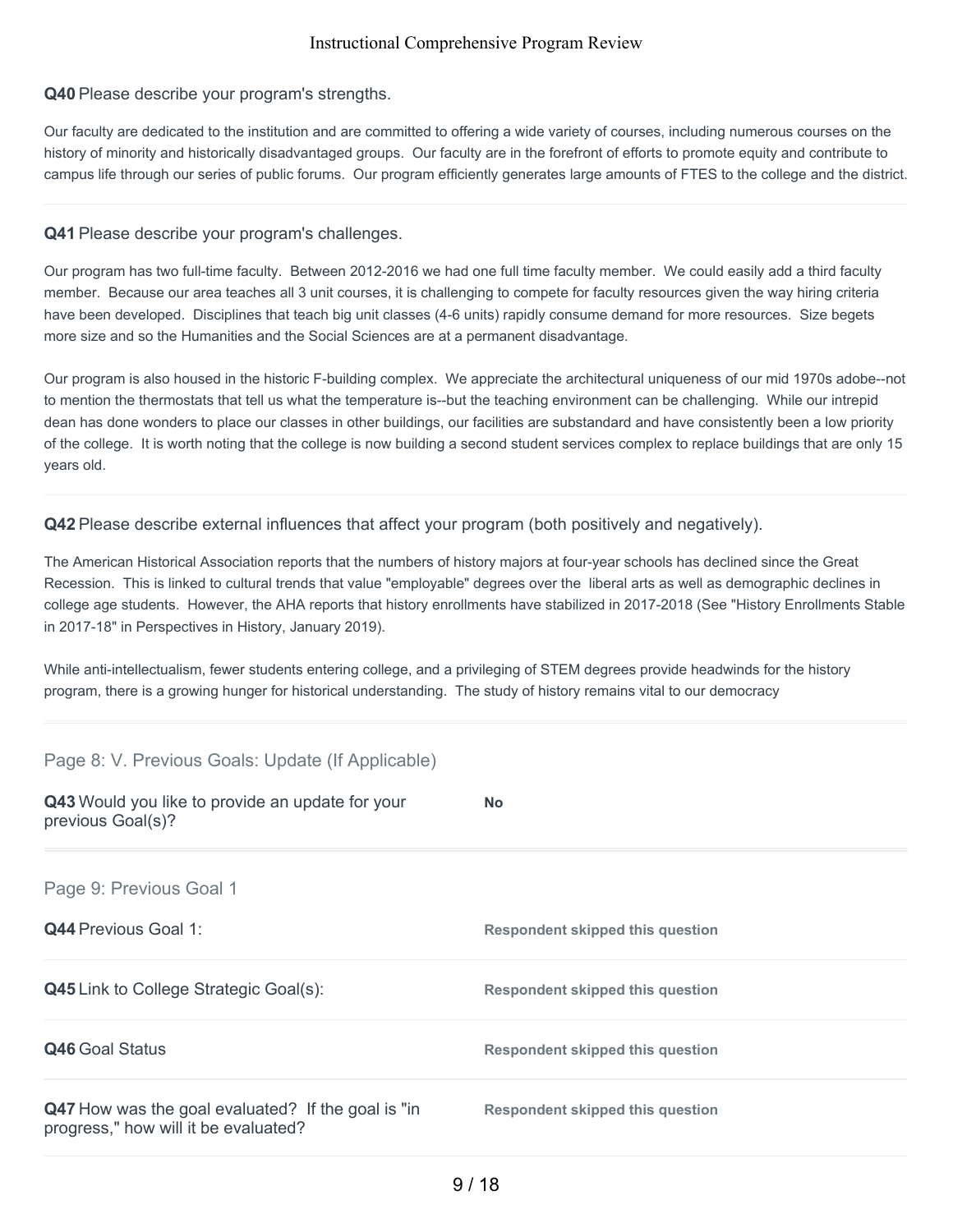#### **Q40** Please describe your program's strengths.

Our faculty are dedicated to the institution and are committed to offering a wide variety of courses, including numerous courses on the history of minority and historically disadvantaged groups. Our faculty are in the forefront of efforts to promote equity and contribute to campus life through our series of public forums. Our program efficiently generates large amounts of FTES to the college and the district.

#### **Q41** Please describe your program's challenges.

Our program has two full-time faculty. Between 2012-2016 we had one full time faculty member. We could easily add a third faculty member. Because our area teaches all 3 unit courses, it is challenging to compete for faculty resources given the way hiring criteria have been developed. Disciplines that teach big unit classes (4-6 units) rapidly consume demand for more resources. Size begets more size and so the Humanities and the Social Sciences are at a permanent disadvantage.

Our program is also housed in the historic F-building complex. We appreciate the architectural uniqueness of our mid 1970s adobe--not to mention the thermostats that tell us what the temperature is--but the teaching environment can be challenging. While our intrepid dean has done wonders to place our classes in other buildings, our facilities are substandard and have consistently been a low priority of the college. It is worth noting that the college is now building a second student services complex to replace buildings that are only 15 years old.

**Q42** Please describe external influences that affect your program (both positively and negatively).

The American Historical Association reports that the numbers of history majors at four-year schools has declined since the Great Recession. This is linked to cultural trends that value "employable" degrees over the liberal arts as well as demographic declines in college age students. However, the AHA reports that history enrollments have stabilized in 2017-2018 (See "History Enrollments Stable in 2017-18" in Perspectives in History, January 2019).

While anti-intellectualism, fewer students entering college, and a privileging of STEM degrees provide headwinds for the history program, there is a growing hunger for historical understanding. The study of history remains vital to our democracy

#### Page 8: V. Previous Goals: Update (If Applicable)

| Q43 Would you like to provide an update for your<br>previous Goal(s)?                      | <b>No</b>                               |
|--------------------------------------------------------------------------------------------|-----------------------------------------|
| Page 9: Previous Goal 1                                                                    |                                         |
| <b>Q44</b> Previous Goal 1:                                                                | <b>Respondent skipped this question</b> |
| <b>Q45</b> Link to College Strategic Goal(s):                                              | <b>Respondent skipped this question</b> |
| Q46 Goal Status                                                                            | <b>Respondent skipped this question</b> |
| Q47 How was the goal evaluated? If the goal is "in<br>progress," how will it be evaluated? | Respondent skipped this question        |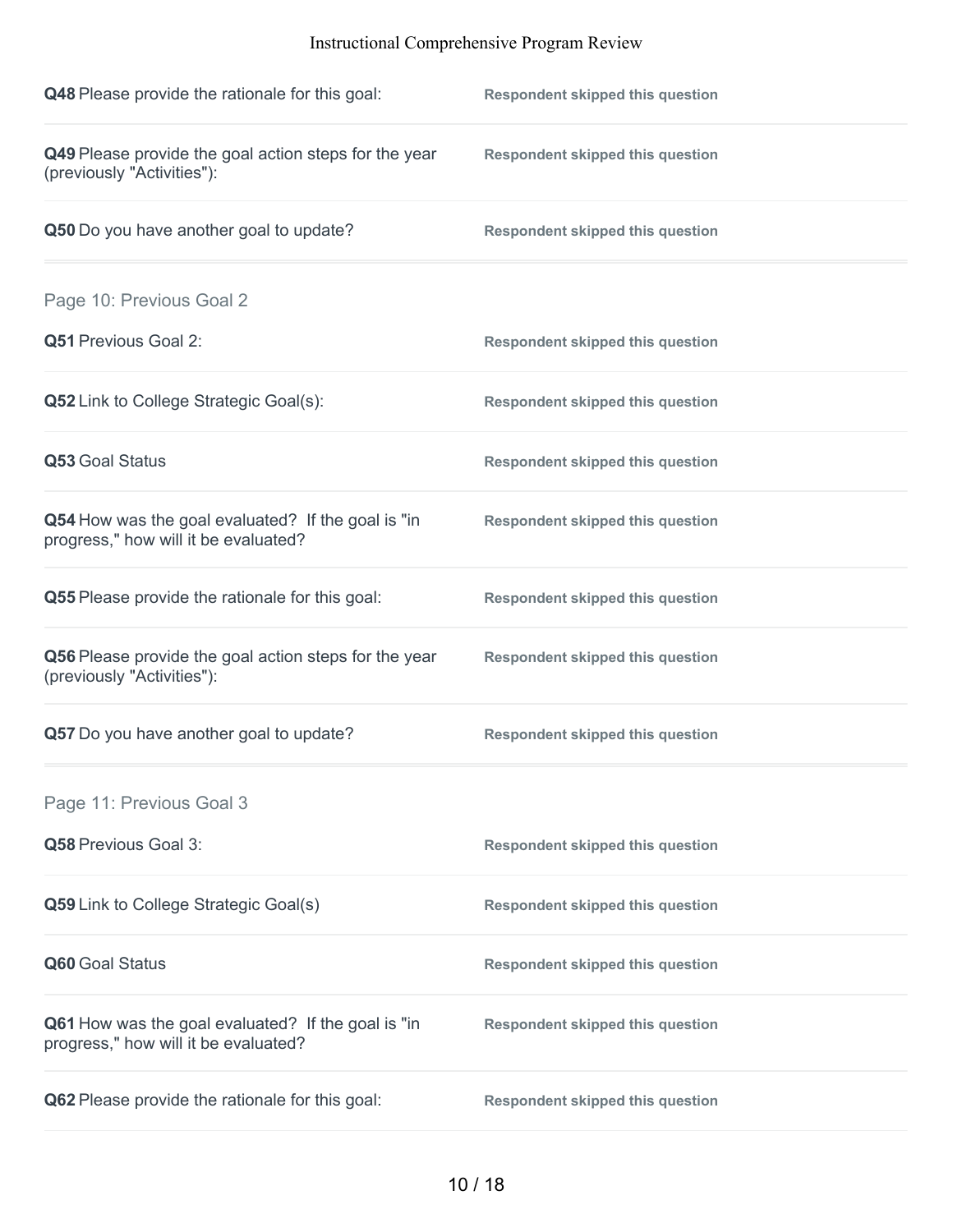| Q48 Please provide the rationale for this goal:                                            | <b>Respondent skipped this question</b> |
|--------------------------------------------------------------------------------------------|-----------------------------------------|
| Q49 Please provide the goal action steps for the year<br>(previously "Activities"):        | <b>Respondent skipped this question</b> |
| Q50 Do you have another goal to update?                                                    | <b>Respondent skipped this question</b> |
| Page 10: Previous Goal 2                                                                   |                                         |
| <b>Q51 Previous Goal 2:</b>                                                                | <b>Respondent skipped this question</b> |
| Q52 Link to College Strategic Goal(s):                                                     | <b>Respondent skipped this question</b> |
| Q53 Goal Status                                                                            | <b>Respondent skipped this question</b> |
| Q54 How was the goal evaluated? If the goal is "in<br>progress," how will it be evaluated? | <b>Respondent skipped this question</b> |
| Q55 Please provide the rationale for this goal:                                            | <b>Respondent skipped this question</b> |
| Q56 Please provide the goal action steps for the year<br>(previously "Activities"):        | <b>Respondent skipped this question</b> |
| Q57 Do you have another goal to update?                                                    | <b>Respondent skipped this question</b> |
| Page 11: Previous Goal 3                                                                   |                                         |
| Q58 Previous Goal 3:                                                                       | <b>Respondent skipped this question</b> |
| Q59 Link to College Strategic Goal(s)                                                      | <b>Respondent skipped this question</b> |
| Q60 Goal Status                                                                            | <b>Respondent skipped this question</b> |
| Q61 How was the goal evaluated? If the goal is "in<br>progress," how will it be evaluated? | <b>Respondent skipped this question</b> |
| Q62 Please provide the rationale for this goal:                                            | <b>Respondent skipped this question</b> |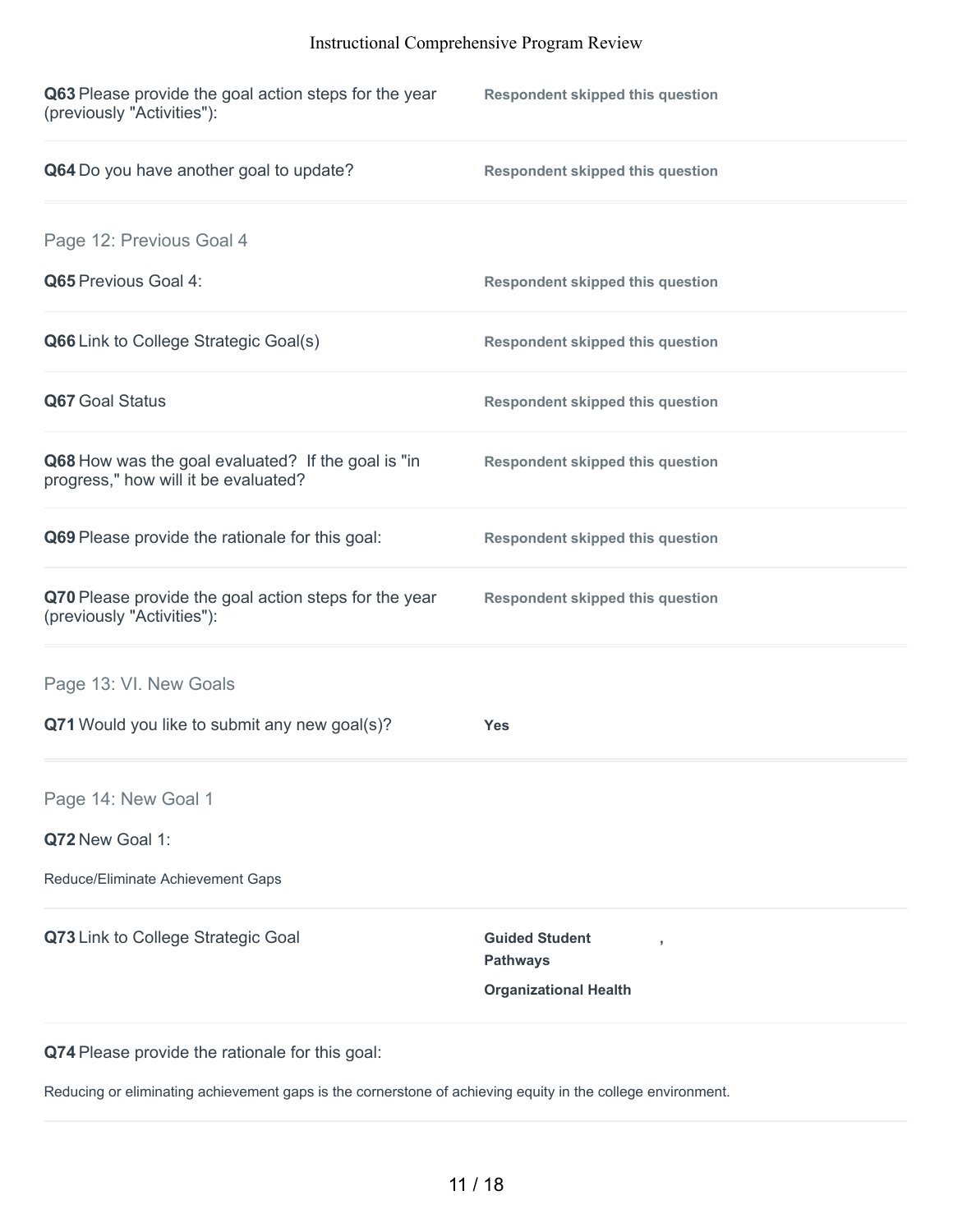| Q63 Please provide the goal action steps for the year<br>(previously "Activities"):        | <b>Respondent skipped this question</b>                                  |
|--------------------------------------------------------------------------------------------|--------------------------------------------------------------------------|
| Q64 Do you have another goal to update?                                                    | <b>Respondent skipped this question</b>                                  |
| Page 12: Previous Goal 4                                                                   |                                                                          |
| Q65 Previous Goal 4:                                                                       | <b>Respondent skipped this question</b>                                  |
| Q66 Link to College Strategic Goal(s)                                                      | <b>Respondent skipped this question</b>                                  |
| Q67 Goal Status                                                                            | <b>Respondent skipped this question</b>                                  |
| Q68 How was the goal evaluated? If the goal is "in<br>progress," how will it be evaluated? | <b>Respondent skipped this question</b>                                  |
| Q69 Please provide the rationale for this goal:                                            | <b>Respondent skipped this question</b>                                  |
| Q70 Please provide the goal action steps for the year<br>(previously "Activities"):        | <b>Respondent skipped this question</b>                                  |
| Page 13: VI. New Goals                                                                     |                                                                          |
| Q71 Would you like to submit any new goal(s)?                                              | Yes                                                                      |
| Page 14: New Goal 1                                                                        |                                                                          |
| Q72 New Goal 1:                                                                            |                                                                          |
| Reduce/Eliminate Achievement Gaps                                                          |                                                                          |
| Q73 Link to College Strategic Goal                                                         | <b>Guided Student</b><br><b>Pathways</b><br><b>Organizational Health</b> |
|                                                                                            |                                                                          |

**Q74** Please provide the rationale for this goal:

Reducing or eliminating achievement gaps is the cornerstone of achieving equity in the college environment.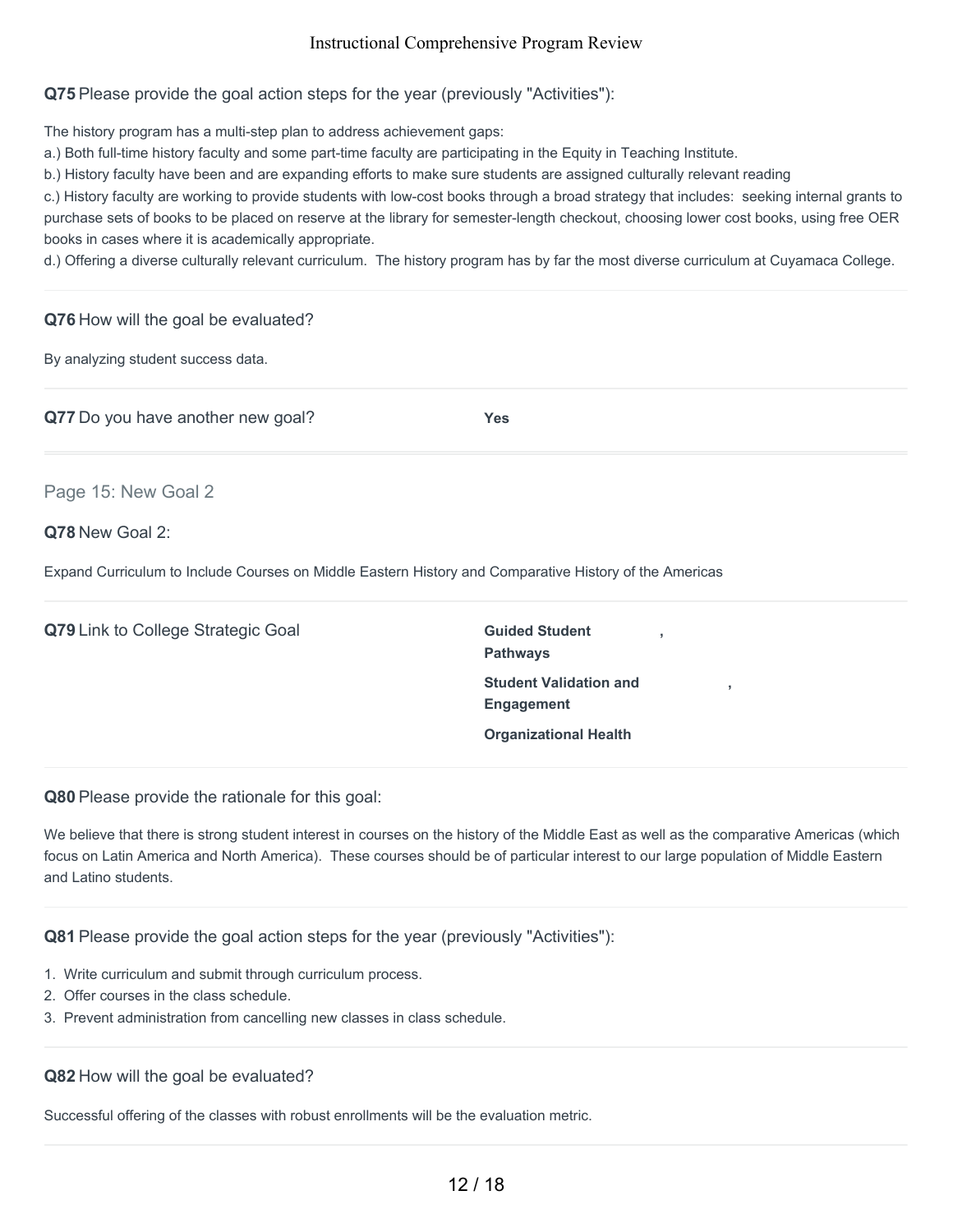**Q75** Please provide the goal action steps for the year (previously "Activities"):

The history program has a multi-step plan to address achievement gaps:

a.) Both full-time history faculty and some part-time faculty are participating in the Equity in Teaching Institute.

b.) History faculty have been and are expanding efforts to make sure students are assigned culturally relevant reading

c.) History faculty are working to provide students with low-cost books through a broad strategy that includes: seeking internal grants to purchase sets of books to be placed on reserve at the library for semester-length checkout, choosing lower cost books, using free OER books in cases where it is academically appropriate.

d.) Offering a diverse culturally relevant curriculum. The history program has by far the most diverse curriculum at Cuyamaca College.

#### **Q76** How will the goal be evaluated?

By analyzing student success data.

**Q77** Do you have another new goal? **Yes**

Page 15: New Goal 2

#### **Q78** New Goal 2:

Expand Curriculum to Include Courses on Middle Eastern History and Comparative History of the Americas

**Q79** Link to College Strategic Goal **Guided** Student

**Pathways Student Validation and Engagement Organizational Health**

**,**

**,**

**Q80** Please provide the rationale for this goal:

We believe that there is strong student interest in courses on the history of the Middle East as well as the comparative Americas (which focus on Latin America and North America). These courses should be of particular interest to our large population of Middle Eastern and Latino students.

#### **Q81** Please provide the goal action steps for the year (previously "Activities"):

- 1. Write curriculum and submit through curriculum process.
- 2. Offer courses in the class schedule.
- 3. Prevent administration from cancelling new classes in class schedule.

#### **Q82** How will the goal be evaluated?

Successful offering of the classes with robust enrollments will be the evaluation metric.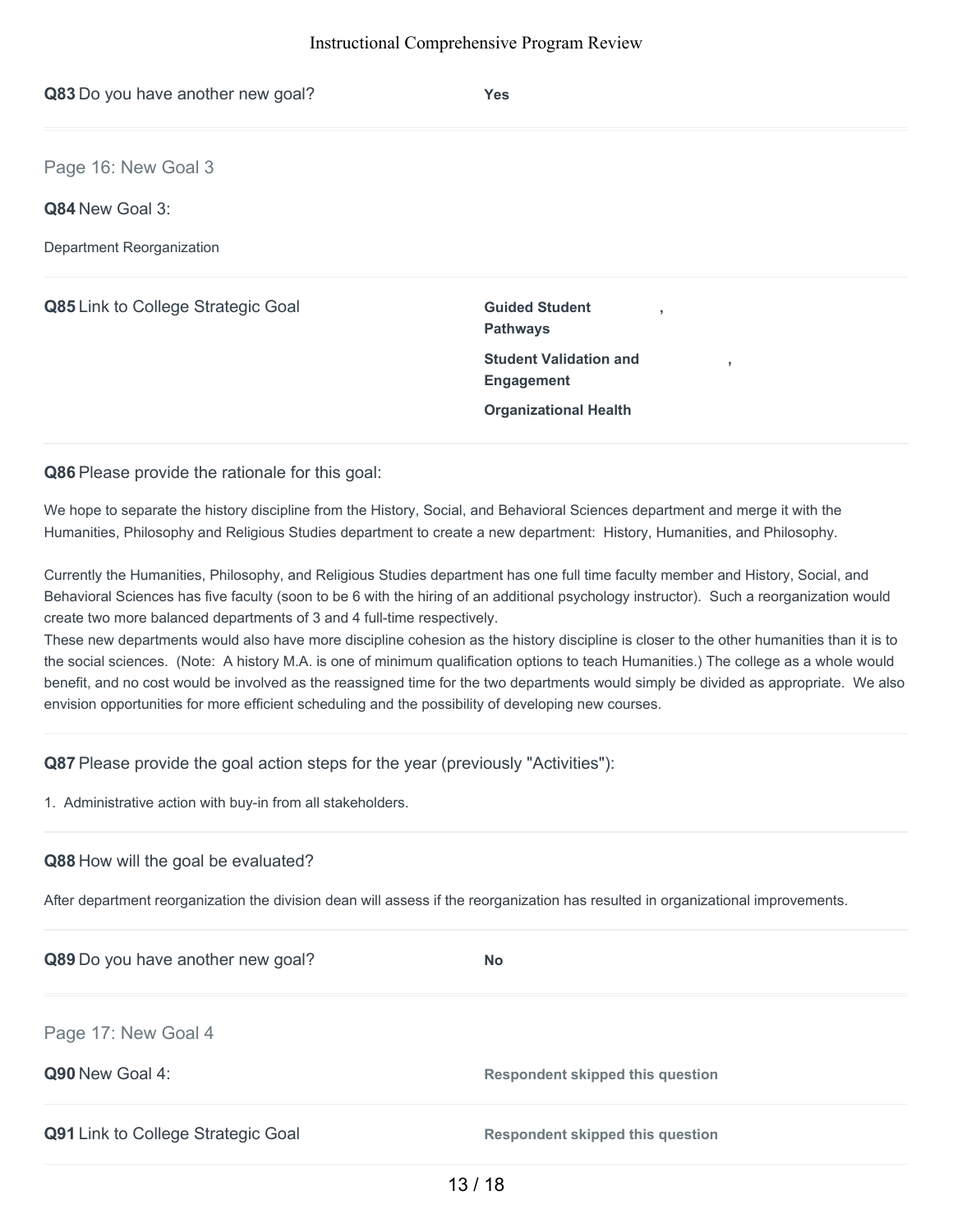| Q83 Do you have another new goal?  | <b>Yes</b>                                               |
|------------------------------------|----------------------------------------------------------|
| Page 16: New Goal 3                |                                                          |
| Q84 New Goal 3:                    |                                                          |
| Department Reorganization          |                                                          |
| Q85 Link to College Strategic Goal | <b>Guided Student</b><br>٠<br><b>Pathways</b>            |
|                                    | <b>Student Validation and</b><br>л.<br><b>Engagement</b> |
|                                    | <b>Organizational Health</b>                             |

**Q86** Please provide the rationale for this goal:

We hope to separate the history discipline from the History, Social, and Behavioral Sciences department and merge it with the Humanities, Philosophy and Religious Studies department to create a new department: History, Humanities, and Philosophy.

Currently the Humanities, Philosophy, and Religious Studies department has one full time faculty member and History, Social, and Behavioral Sciences has five faculty (soon to be 6 with the hiring of an additional psychology instructor). Such a reorganization would create two more balanced departments of 3 and 4 full-time respectively.

These new departments would also have more discipline cohesion as the history discipline is closer to the other humanities than it is to the social sciences. (Note: A history M.A. is one of minimum qualification options to teach Humanities.) The college as a whole would benefit, and no cost would be involved as the reassigned time for the two departments would simply be divided as appropriate. We also envision opportunities for more efficient scheduling and the possibility of developing new courses.

**Q87** Please provide the goal action steps for the year (previously "Activities"):

1. Administrative action with buy-in from all stakeholders.

#### **Q88** How will the goal be evaluated?

After department reorganization the division dean will assess if the reorganization has resulted in organizational improvements.

| Q89 Do you have another new goal?  | <b>No</b>                               |
|------------------------------------|-----------------------------------------|
| Page 17: New Goal 4                |                                         |
| Q90 New Goal 4:                    | <b>Respondent skipped this question</b> |
| Q91 Link to College Strategic Goal | <b>Respondent skipped this question</b> |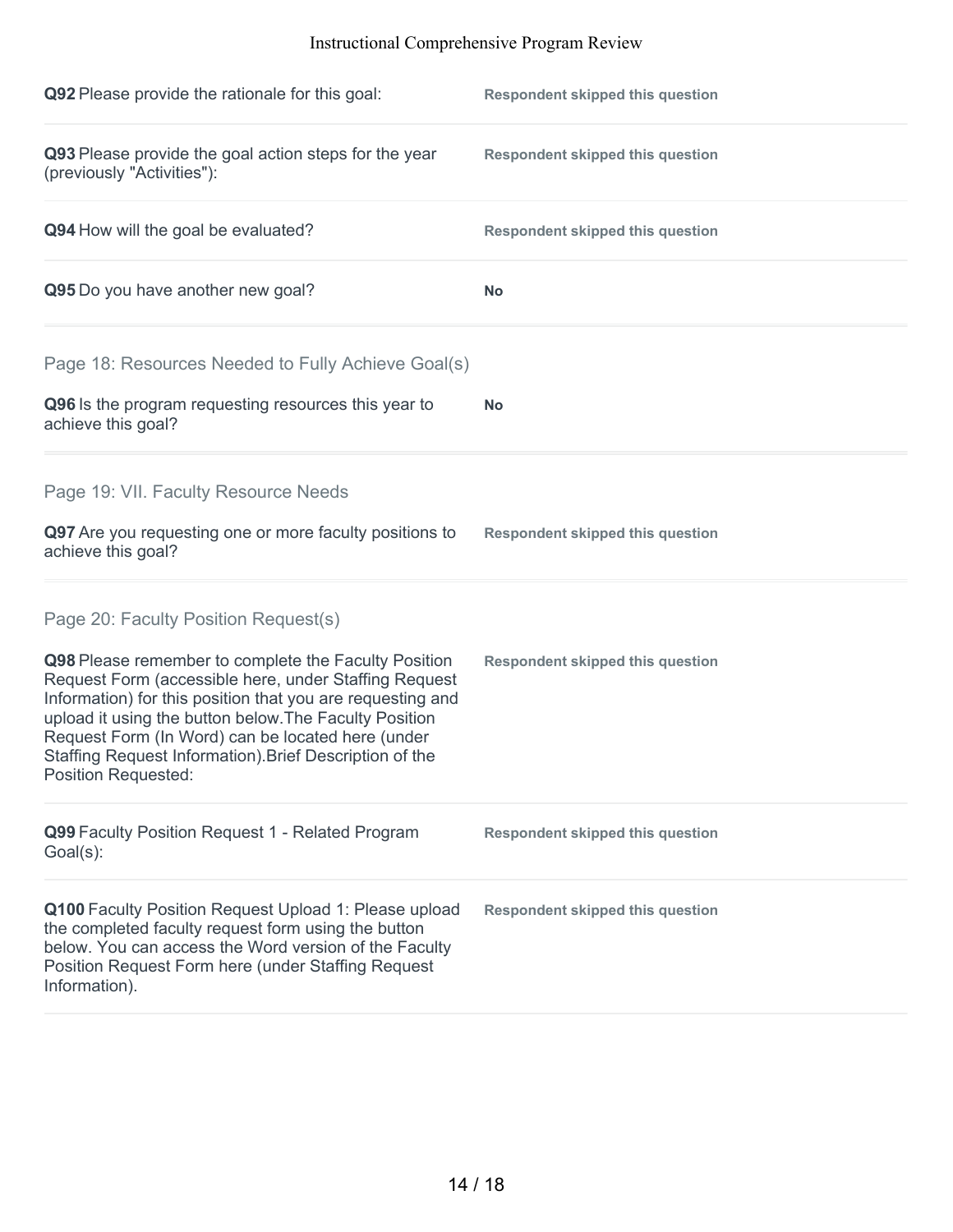| Q92 Please provide the rationale for this goal:                                                                                                                                                                                                                                                                                                                                     | <b>Respondent skipped this question</b> |
|-------------------------------------------------------------------------------------------------------------------------------------------------------------------------------------------------------------------------------------------------------------------------------------------------------------------------------------------------------------------------------------|-----------------------------------------|
| Q93 Please provide the goal action steps for the year<br>(previously "Activities"):                                                                                                                                                                                                                                                                                                 | <b>Respondent skipped this question</b> |
| Q94 How will the goal be evaluated?                                                                                                                                                                                                                                                                                                                                                 | <b>Respondent skipped this question</b> |
| Q95 Do you have another new goal?                                                                                                                                                                                                                                                                                                                                                   | <b>No</b>                               |
| Page 18: Resources Needed to Fully Achieve Goal(s)                                                                                                                                                                                                                                                                                                                                  |                                         |
| Q96 Is the program requesting resources this year to<br>achieve this goal?                                                                                                                                                                                                                                                                                                          | <b>No</b>                               |
| Page 19: VII. Faculty Resource Needs                                                                                                                                                                                                                                                                                                                                                |                                         |
| Q97 Are you requesting one or more faculty positions to<br>achieve this goal?                                                                                                                                                                                                                                                                                                       | <b>Respondent skipped this question</b> |
| Page 20: Faculty Position Request(s)                                                                                                                                                                                                                                                                                                                                                |                                         |
| Q98 Please remember to complete the Faculty Position<br>Request Form (accessible here, under Staffing Request<br>Information) for this position that you are requesting and<br>upload it using the button below. The Faculty Position<br>Request Form (In Word) can be located here (under<br>Staffing Request Information). Brief Description of the<br><b>Position Requested:</b> | <b>Respondent skipped this question</b> |
| Q99 Faculty Position Request 1 - Related Program<br>$Goal(s)$ :                                                                                                                                                                                                                                                                                                                     | <b>Respondent skipped this question</b> |
| Q100 Faculty Position Request Upload 1: Please upload<br>the completed faculty request form using the button<br>below. You can access the Word version of the Faculty<br>Position Request Form here (under Staffing Request<br>Information).                                                                                                                                        | <b>Respondent skipped this question</b> |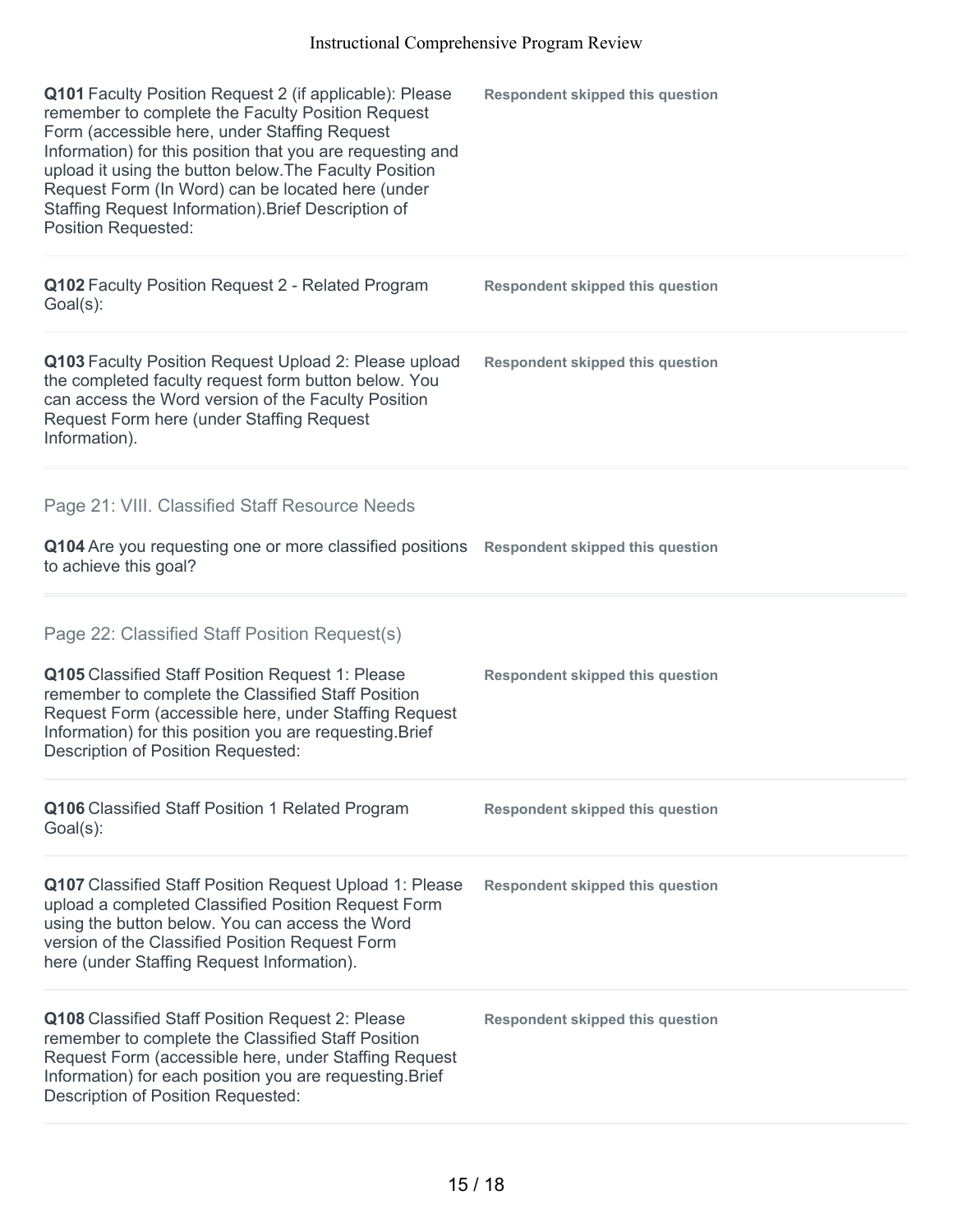| Q101 Faculty Position Request 2 (if applicable): Please<br>remember to complete the Faculty Position Request<br>Form (accessible here, under Staffing Request<br>Information) for this position that you are requesting and<br>upload it using the button below. The Faculty Position<br>Request Form (In Word) can be located here (under<br>Staffing Request Information). Brief Description of<br>Position Requested: | <b>Respondent skipped this question</b> |
|--------------------------------------------------------------------------------------------------------------------------------------------------------------------------------------------------------------------------------------------------------------------------------------------------------------------------------------------------------------------------------------------------------------------------|-----------------------------------------|
| Q102 Faculty Position Request 2 - Related Program<br>$Goal(s)$ :                                                                                                                                                                                                                                                                                                                                                         | <b>Respondent skipped this question</b> |
| Q103 Faculty Position Request Upload 2: Please upload<br>the completed faculty request form button below. You<br>can access the Word version of the Faculty Position<br>Request Form here (under Staffing Request<br>Information).                                                                                                                                                                                       | <b>Respondent skipped this question</b> |
| Page 21: VIII. Classified Staff Resource Needs                                                                                                                                                                                                                                                                                                                                                                           |                                         |
| Q104 Are you requesting one or more classified positions<br>to achieve this goal?                                                                                                                                                                                                                                                                                                                                        | <b>Respondent skipped this question</b> |
| Page 22: Classified Staff Position Request(s)                                                                                                                                                                                                                                                                                                                                                                            |                                         |
| Q105 Classified Staff Position Request 1: Please<br>remember to complete the Classified Staff Position<br>Request Form (accessible here, under Staffing Request<br>Information) for this position you are requesting. Brief<br>Description of Position Requested:                                                                                                                                                        | <b>Respondent skipped this question</b> |
| Q106 Classified Staff Position 1 Related Program<br>$Goal(s)$ :                                                                                                                                                                                                                                                                                                                                                          | <b>Respondent skipped this question</b> |
| <b>Q107</b> Classified Staff Position Request Upload 1: Please<br>upload a completed Classified Position Request Form<br>using the button below. You can access the Word<br>version of the Classified Position Request Form<br>here (under Staffing Request Information).                                                                                                                                                | <b>Respondent skipped this question</b> |
| Q108 Classified Staff Position Request 2: Please<br>remember to complete the Classified Staff Position<br>Request Form (accessible here, under Staffing Request<br>Information) for each position you are requesting. Brief<br>Description of Position Requested:                                                                                                                                                        | <b>Respondent skipped this question</b> |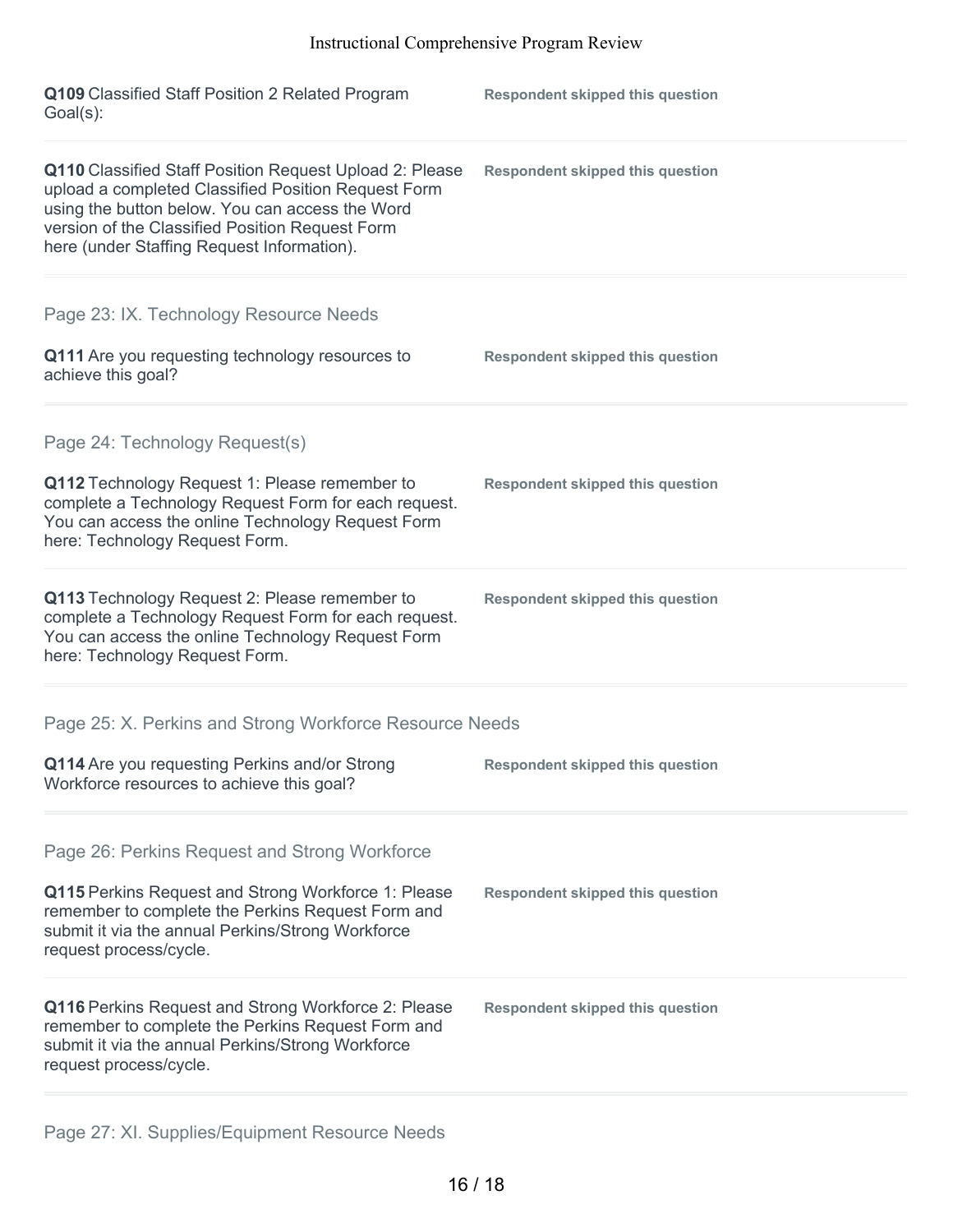| Q109 Classified Staff Position 2 Related Program<br>$Goal(s)$ :                                                                                                                                                                                                    | <b>Respondent skipped this question</b> |
|--------------------------------------------------------------------------------------------------------------------------------------------------------------------------------------------------------------------------------------------------------------------|-----------------------------------------|
| Q110 Classified Staff Position Request Upload 2: Please<br>upload a completed Classified Position Request Form<br>using the button below. You can access the Word<br>version of the Classified Position Request Form<br>here (under Staffing Request Information). | <b>Respondent skipped this question</b> |
| Page 23: IX. Technology Resource Needs                                                                                                                                                                                                                             |                                         |
| Q111 Are you requesting technology resources to<br>achieve this goal?                                                                                                                                                                                              | <b>Respondent skipped this question</b> |
| Page 24: Technology Request(s)                                                                                                                                                                                                                                     |                                         |
| Q112 Technology Request 1: Please remember to<br>complete a Technology Request Form for each request.<br>You can access the online Technology Request Form<br>here: Technology Request Form.                                                                       | <b>Respondent skipped this question</b> |
| Q113 Technology Request 2: Please remember to<br>complete a Technology Request Form for each request.<br>You can access the online Technology Request Form<br>here: Technology Request Form.                                                                       | <b>Respondent skipped this question</b> |
| Page 25: X. Perkins and Strong Workforce Resource Needs                                                                                                                                                                                                            |                                         |
| Q114 Are you requesting Perkins and/or Strong<br>Workforce resources to achieve this goal?                                                                                                                                                                         | <b>Respondent skipped this question</b> |
| Page 26: Perkins Request and Strong Workforce                                                                                                                                                                                                                      |                                         |
| Q115 Perkins Request and Strong Workforce 1: Please<br>remember to complete the Perkins Request Form and<br>submit it via the annual Perkins/Strong Workforce<br>request process/cycle.                                                                            | <b>Respondent skipped this question</b> |
| Q116 Perkins Request and Strong Workforce 2: Please<br>remember to complete the Perkins Request Form and<br>submit it via the annual Perkins/Strong Workforce<br>request process/cycle.                                                                            | <b>Respondent skipped this question</b> |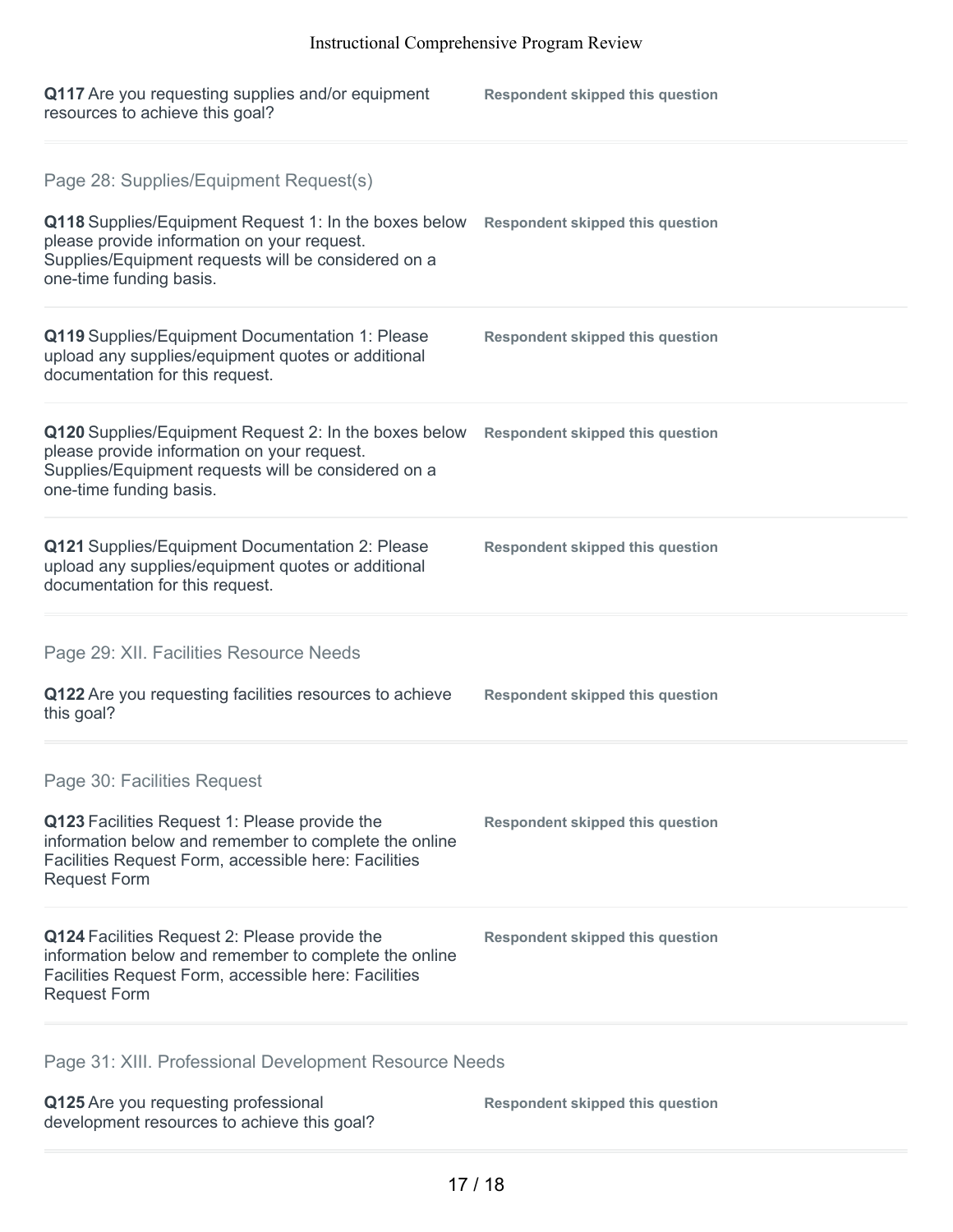| Q117 Are you requesting supplies and/or equipment<br>resources to achieve this goal?                                                                                                                                             | <b>Respondent skipped this question</b> |
|----------------------------------------------------------------------------------------------------------------------------------------------------------------------------------------------------------------------------------|-----------------------------------------|
| Page 28: Supplies/Equipment Request(s)<br>Q118 Supplies/Equipment Request 1: In the boxes below<br>please provide information on your request.<br>Supplies/Equipment requests will be considered on a<br>one-time funding basis. | <b>Respondent skipped this question</b> |
| Q119 Supplies/Equipment Documentation 1: Please<br>upload any supplies/equipment quotes or additional<br>documentation for this request.                                                                                         | <b>Respondent skipped this question</b> |
| Q120 Supplies/Equipment Request 2: In the boxes below<br>please provide information on your request.<br>Supplies/Equipment requests will be considered on a<br>one-time funding basis.                                           | <b>Respondent skipped this question</b> |
| Q121 Supplies/Equipment Documentation 2: Please<br>upload any supplies/equipment quotes or additional<br>documentation for this request.                                                                                         | <b>Respondent skipped this question</b> |
| Page 29: XII. Facilities Resource Needs                                                                                                                                                                                          |                                         |
| Q122 Are you requesting facilities resources to achieve<br>this goal?                                                                                                                                                            | <b>Respondent skipped this question</b> |
| Page 30: Facilities Request                                                                                                                                                                                                      |                                         |
| Q123 Facilities Request 1: Please provide the<br>information below and remember to complete the online<br>Facilities Request Form, accessible here: Facilities<br><b>Request Form</b>                                            | <b>Respondent skipped this question</b> |
| Q124 Facilities Request 2: Please provide the<br>information below and remember to complete the online<br>Facilities Request Form, accessible here: Facilities<br><b>Request Form</b>                                            | <b>Respondent skipped this question</b> |
| Page 31: XIII. Professional Development Resource Needs                                                                                                                                                                           |                                         |

**Q125** Are you requesting professional development resources to achieve this goal? **Respondent skipped this question**